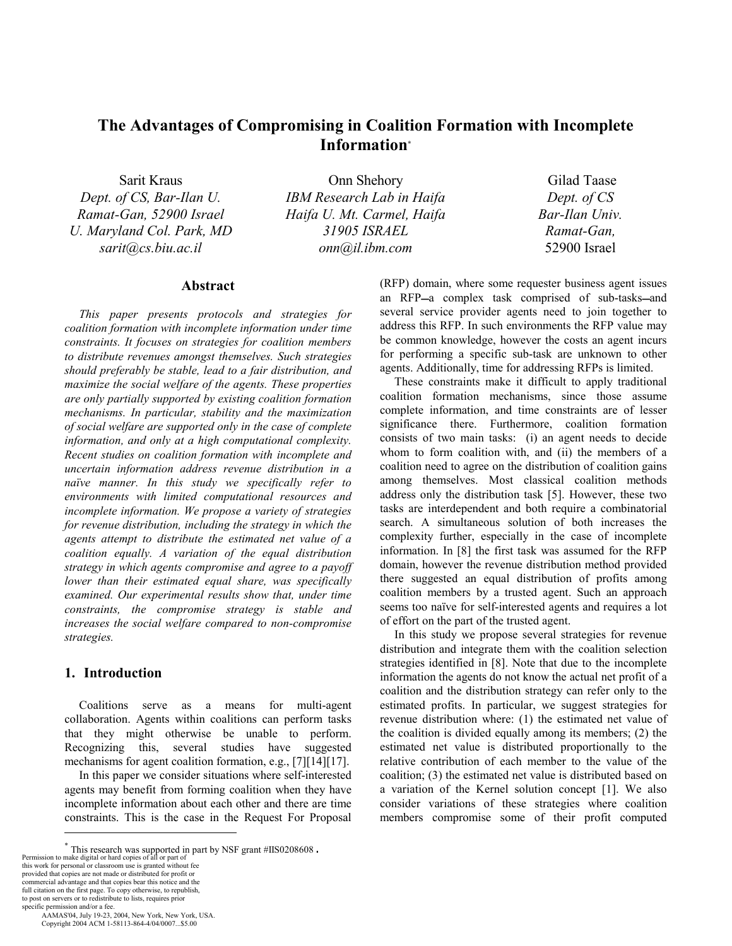# **The Advantages of Compromising in Coalition Formation with Incomplete Information\***

Sarit Kraus *Dept. of CS, Bar-Ilan U. Ramat-Gan, 52900 Israel U. Maryland Col. Park, MD sarit@cs.biu.ac.il* 

Onn Shehory *IBM Research Lab in Haifa Haifa U. Mt. Carmel, Haifa 31905 ISRAEL onn@il.ibm.com*

 Gilad Taase *Dept. of CS Bar-Ilan Univ. Ramat-Gan,*  52900 Israel

# **Abstract**

*This paper presents protocols and strategies for coalition formation with incomplete information under time constraints. It focuses on strategies for coalition members to distribute revenues amongst themselves. Such strategies should preferably be stable, lead to a fair distribution, and maximize the social welfare of the agents. These properties are only partially supported by existing coalition formation mechanisms. In particular, stability and the maximization of social welfare are supported only in the case of complete information, and only at a high computational complexity. Recent studies on coalition formation with incomplete and uncertain information address revenue distribution in a naïve manner. In this study we specifically refer to environments with limited computational resources and incomplete information. We propose a variety of strategies for revenue distribution, including the strategy in which the agents attempt to distribute the estimated net value of a coalition equally. A variation of the equal distribution strategy in which agents compromise and agree to a payoff lower than their estimated equal share, was specifically examined. Our experimental results show that, under time constraints, the compromise strategy is stable and increases the social welfare compared to non-compromise strategies.* 

## **1. Introduction**

Coalitions serve as a means for multi-agent collaboration. Agents within coalitions can perform tasks that they might otherwise be unable to perform. Recognizing this, several studies have suggested mechanisms for agent coalition formation, e.g., [7] [14] [17].

In this paper we consider situations where self-interested agents may benefit from forming coalition when they have incomplete information about each other and there are time constraints. This is the case in the Request For Proposal

commercial advantage and that copies bear this notice and the

full citation on the first page. To copy otherwise, to republish, to post on servers or to redistribute to lists, requires prior specific permission and/or a fee.

AAMAS'04, July 19-23, 2004, New York, New York, USA.

 $\overline{a}$ 

Copyright 2004 ACM 1-58113-864-4/04/0007...\$5.00

(RFP) domain, where some requester business agent issues an RFP-a complex task comprised of sub-tasks-and several service provider agents need to join together to address this RFP. In such environments the RFP value may be common knowledge, however the costs an agent incurs for performing a specific sub-task are unknown to other agents. Additionally, time for addressing RFPs is limited.

These constraints make it difficult to apply traditional coalition formation mechanisms, since those assume complete information, and time constraints are of lesser significance there. Furthermore, coalition formation consists of two main tasks: (i) an agent needs to decide whom to form coalition with, and (ii) the members of a coalition need to agree on the distribution of coalition gains among themselves. Most classical coalition methods address only the distribution task [5]. However, these two tasks are interdependent and both require a combinatorial search. A simultaneous solution of both increases the complexity further, especially in the case of incomplete information. In [8] the first task was assumed for the RFP domain, however the revenue distribution method provided there suggested an equal distribution of profits among coalition members by a trusted agent. Such an approach seems too naïve for self-interested agents and requires a lot of effort on the part of the trusted agent.

In this study we propose several strategies for revenue distribution and integrate them with the coalition selection strategies identified in [8]. Note that due to the incomplete information the agents do not know the actual net profit of a coalition and the distribution strategy can refer only to the estimated profits. In particular, we suggest strategies for revenue distribution where: (1) the estimated net value of the coalition is divided equally among its members; (2) the estimated net value is distributed proportionally to the relative contribution of each member to the value of the coalition; (3) the estimated net value is distributed based on a variation of the Kernel solution concept [1]. We also consider variations of these strategies where coalition members compromise some of their profit computed

 $*$  This research was supported in part by NSF grant #IIS0208608.<br>Permission to make digital or hard copies of all or part of<br>this work for personal or classroom use is granted without fee<br>provided that copies are not mad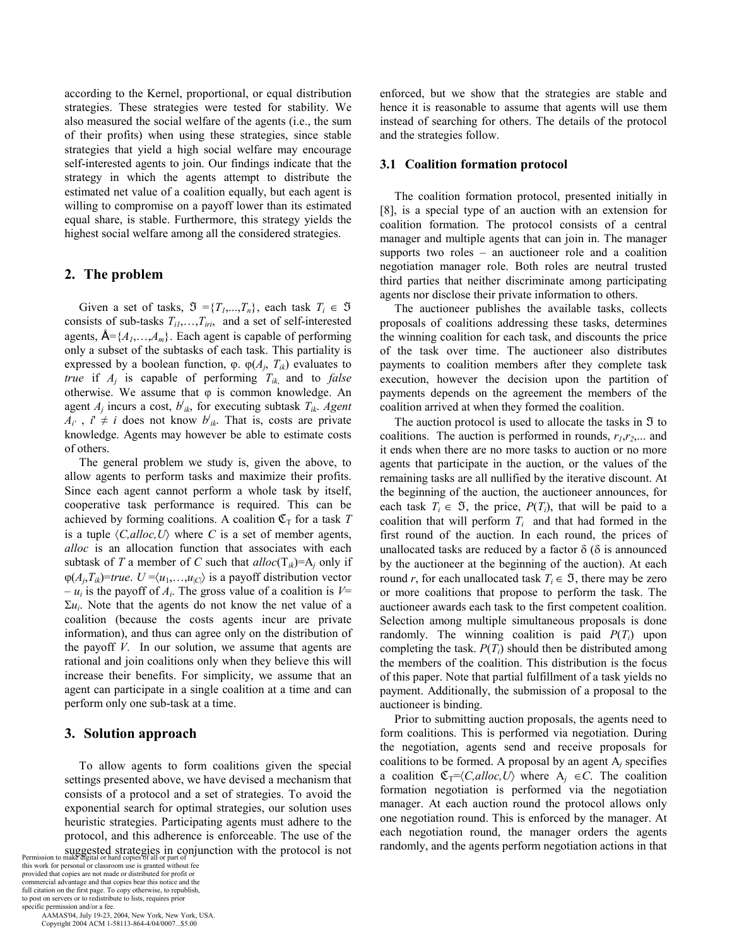according to the Kernel, proportional, or equal distribution strategies. These strategies were tested for stability. We also measured the social welfare of the agents (i.e., the sum of their profits) when using these strategies, since stable strategies that yield a high social welfare may encourage self-interested agents to join. Our findings indicate that the strategy in which the agents attempt to distribute the estimated net value of a coalition equally, but each agent is willing to compromise on a payoff lower than its estimated equal share, is stable. Furthermore, this strategy yields the highest social welfare among all the considered strategies.

## **2. The problem**

Given a set of tasks,  $\mathfrak{I} = \{T_1, ..., T_n\}$ , each task  $T_i \in \mathfrak{I}$ consists of sub-tasks  $T_{i1},...,T_{iri}$ , and a set of self-interested agents,  $\mathbf{A} = \{A_1, \ldots, A_m\}$ . Each agent is capable of performing only a subset of the subtasks of each task. This partiality is expressed by a boolean function,  $\varphi$ .  $\varphi(A_i, T_{ik})$  evaluates to *true* if *Aj* is capable of performing *Tik*, and to *false* otherwise. We assume that  $\varphi$  is common knowledge. An agent  $A_j$  incurs a cost,  $b^j_{ik}$ , for executing subtask  $T_{ik}$ . Agent  $A_{i'}$ ,  $i' \neq i$  does not know  $b'_{ik}$ . That is, costs are private knowledge. Agents may however be able to estimate costs of others.

The general problem we study is, given the above, to allow agents to perform tasks and maximize their profits. Since each agent cannot perform a whole task by itself, cooperative task performance is required. This can be achieved by forming coalitions. A coalition  $\mathfrak{C}_{T}$  for a task *T* is a tuple  $\langle C, \text{alloc}, U \rangle$  where *C* is a set of member agents, *alloc* is an allocation function that associates with each subtask of *T* a member of *C* such that  $alloc(T_{ik})=A_i$  only if  $\varphi(A_j, T_{ik})$ =*true*.  $U = \langle u_1, \ldots, u_{|\mathcal{C}|} \rangle$  is a payoff distribution vector  $-u_i$  is the payoff of  $A_i$ . The gross value of a coalition is  $V=$  $\Sigma u_i$ . Note that the agents do not know the net value of a coalition (because the costs agents incur are private information), and thus can agree only on the distribution of the payoff *V*. In our solution, we assume that agents are rational and join coalitions only when they believe this will increase their benefits. For simplicity, we assume that an agent can participate in a single coalition at a time and can perform only one sub-task at a time.

#### **3. Solution approach**

To allow agents to form coalitions given the special settings presented above, we have devised a mechanism that consists of a protocol and a set of strategies. To avoid the exponential search for optimal strategies, our solution uses heuristic strategies. Participating agents must adhere to the protocol, and this adherence is enforceable. The use of the

Suggested strategies in conjunction with the protocol is not<br>Permission to make digital or hard copies of all or part of<br>this work for personal or classroom use is granted without fee<br>provided that copies are not made or d commercial advantage and that copies bear this notice and the full citation on the first page. To copy otherwise, to republish, to post on servers or to redistribute to lists, requires prior specific permission and/or a fee.

 AAMAS'04, July 19-23, 2004, New York, New York, USA. Copyright 2004 ACM 1-58113-864-4/04/0007...\$5.00

enforced, but we show that the strategies are stable and hence it is reasonable to assume that agents will use them instead of searching for others. The details of the protocol and the strategies follow.

#### **3.1 Coalition formation protocol**

The coalition formation protocol, presented initially in [8], is a special type of an auction with an extension for coalition formation. The protocol consists of a central manager and multiple agents that can join in. The manager supports two roles – an auctioneer role and a coalition negotiation manager role. Both roles are neutral trusted third parties that neither discriminate among participating agents nor disclose their private information to others.

The auctioneer publishes the available tasks, collects proposals of coalitions addressing these tasks, determines the winning coalition for each task, and discounts the price of the task over time. The auctioneer also distributes payments to coalition members after they complete task execution, however the decision upon the partition of payments depends on the agreement the members of the coalition arrived at when they formed the coalition.

The auction protocol is used to allocate the tasks in  $\mathfrak I$  to coalitions. The auction is performed in rounds,  $r_1, r_2, \ldots$  and it ends when there are no more tasks to auction or no more agents that participate in the auction, or the values of the remaining tasks are all nullified by the iterative discount. At the beginning of the auction, the auctioneer announces, for each task  $T_i \in \mathfrak{I}$ , the price,  $P(T_i)$ , that will be paid to a coalition that will perform  $T_i$  and that had formed in the first round of the auction. In each round, the prices of unallocated tasks are reduced by a factor  $\delta$  ( $\delta$  is announced by the auctioneer at the beginning of the auction). At each round *r*, for each unallocated task  $T_i \in \mathfrak{I}$ , there may be zero or more coalitions that propose to perform the task. The auctioneer awards each task to the first competent coalition. Selection among multiple simultaneous proposals is done randomly. The winning coalition is paid  $P(T_i)$  upon completing the task.  $P(T_i)$  should then be distributed among the members of the coalition. This distribution is the focus of this paper. Note that partial fulfillment of a task yields no payment. Additionally, the submission of a proposal to the auctioneer is binding.

Prior to submitting auction proposals, the agents need to form coalitions. This is performed via negotiation. During the negotiation, agents send and receive proposals for coalitions to be formed. A proposal by an agent A*j* specifies a coalition  $\mathfrak{C}_{T}=\langle C, \text{alloc}, U \rangle$  where  $A_i \in C$ . The coalition formation negotiation is performed via the negotiation manager. At each auction round the protocol allows only one negotiation round. This is enforced by the manager. At each negotiation round, the manager orders the agents randomly, and the agents perform negotiation actions in that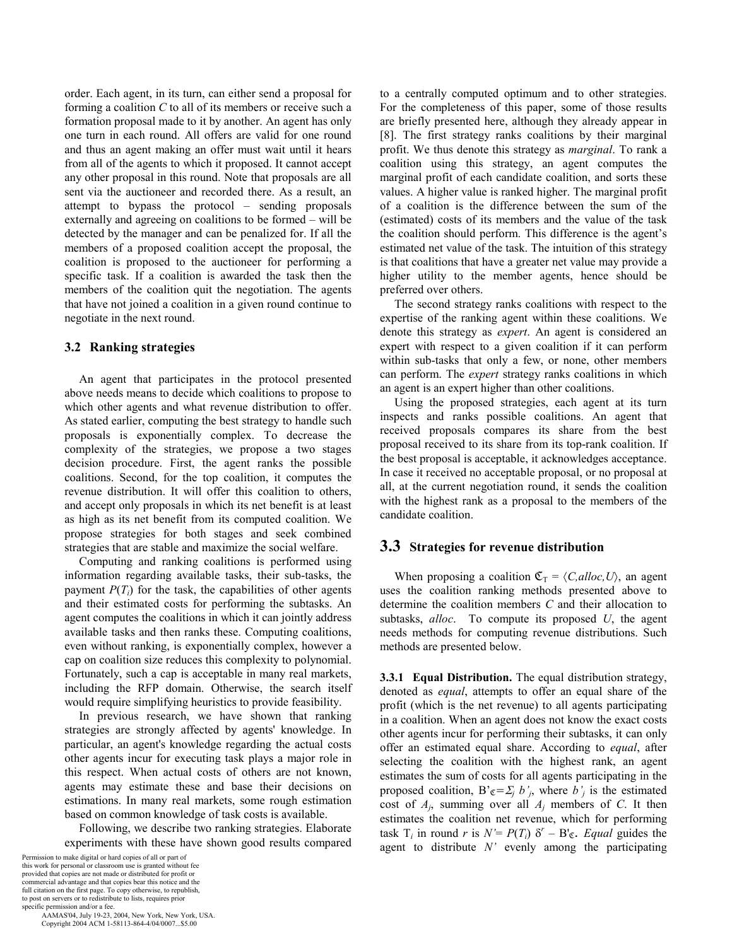order. Each agent, in its turn, can either send a proposal for forming a coalition *C* to all of its members or receive such a formation proposal made to it by another. An agent has only one turn in each round. All offers are valid for one round and thus an agent making an offer must wait until it hears from all of the agents to which it proposed. It cannot accept any other proposal in this round. Note that proposals are all sent via the auctioneer and recorded there. As a result, an attempt to bypass the protocol – sending proposals externally and agreeing on coalitions to be formed – will be detected by the manager and can be penalized for. If all the members of a proposed coalition accept the proposal, the coalition is proposed to the auctioneer for performing a specific task. If a coalition is awarded the task then the members of the coalition quit the negotiation. The agents that have not joined a coalition in a given round continue to negotiate in the next round.

## **3.2 Ranking strategies**

An agent that participates in the protocol presented above needs means to decide which coalitions to propose to which other agents and what revenue distribution to offer. As stated earlier, computing the best strategy to handle such proposals is exponentially complex. To decrease the complexity of the strategies, we propose a two stages decision procedure. First, the agent ranks the possible coalitions. Second, for the top coalition, it computes the revenue distribution. It will offer this coalition to others, and accept only proposals in which its net benefit is at least as high as its net benefit from its computed coalition. We propose strategies for both stages and seek combined strategies that are stable and maximize the social welfare.

Computing and ranking coalitions is performed using information regarding available tasks, their sub-tasks, the payment  $P(T_i)$  for the task, the capabilities of other agents and their estimated costs for performing the subtasks. An agent computes the coalitions in which it can jointly address available tasks and then ranks these. Computing coalitions, even without ranking, is exponentially complex, however a cap on coalition size reduces this complexity to polynomial. Fortunately, such a cap is acceptable in many real markets, including the RFP domain. Otherwise, the search itself would require simplifying heuristics to provide feasibility.

In previous research, we have shown that ranking strategies are strongly affected by agents' knowledge. In particular, an agent's knowledge regarding the actual costs other agents incur for executing task plays a major role in this respect. When actual costs of others are not known, agents may estimate these and base their decisions on estimations. In many real markets, some rough estimation based on common knowledge of task costs is available.

Following, we describe two ranking strategies. Elaborate experiments with these have shown good results compared

Permission to make digital or hard copies of all or part of this work for personal or classroom use is granted without fee provided that copies are not made or distributed for profit or commercial advantage and that copies bear this notice and the full citation on the first page. To copy otherwise, to republish, to post on servers or to redistribute to lists, requires prior specific permission and/or a fee.

 AAMAS'04, July 19-23, 2004, New York, New York, USA. Copyright 2004 ACM 1-58113-864-4/04/0007...\$5.00

to a centrally computed optimum and to other strategies. For the completeness of this paper, some of those results are briefly presented here, although they already appear in [8]. The first strategy ranks coalitions by their marginal profit. We thus denote this strategy as *marginal*. To rank a coalition using this strategy, an agent computes the marginal profit of each candidate coalition, and sorts these values. A higher value is ranked higher. The marginal profit of a coalition is the difference between the sum of the (estimated) costs of its members and the value of the task the coalition should perform. This difference is the agent's estimated net value of the task. The intuition of this strategy is that coalitions that have a greater net value may provide a higher utility to the member agents, hence should be preferred over others.

The second strategy ranks coalitions with respect to the expertise of the ranking agent within these coalitions. We denote this strategy as *expert*. An agent is considered an expert with respect to a given coalition if it can perform within sub-tasks that only a few, or none, other members can perform. The *expert* strategy ranks coalitions in which an agent is an expert higher than other coalitions.

Using the proposed strategies, each agent at its turn inspects and ranks possible coalitions. An agent that received proposals compares its share from the best proposal received to its share from its top-rank coalition. If the best proposal is acceptable, it acknowledges acceptance. In case it received no acceptable proposal, or no proposal at all, at the current negotiation round, it sends the coalition with the highest rank as a proposal to the members of the candidate coalition.

# **3.3 Strategies for revenue distribution**

When proposing a coalition  $\mathfrak{C}_{\mathcal{T}} = \langle C, \text{alloc}, U \rangle$ , an agent uses the coalition ranking methods presented above to determine the coalition members *C* and their allocation to subtasks, *alloc*. To compute its proposed *U*, the agent needs methods for computing revenue distributions. Such methods are presented below.

**3.3.1 Equal Distribution.** The equal distribution strategy, denoted as *equal*, attempts to offer an equal share of the profit (which is the net revenue) to all agents participating in a coalition. When an agent does not know the exact costs other agents incur for performing their subtasks, it can only offer an estimated equal share. According to *equal*, after selecting the coalition with the highest rank, an agent estimates the sum of costs for all agents participating in the proposed coalition, B' $\varepsilon = \sum_j b_j$ , where  $b_j$  is the estimated cost of *Aj*, summing over all *Aj* members of *C*. It then estimates the coalition net revenue, which for performing task  $T_i$  in round *r* is  $N' = P(T_i) \delta^r - B'_{\mathfrak{C}}$ . *Equal* guides the agent to distribute *N'* evenly among the participating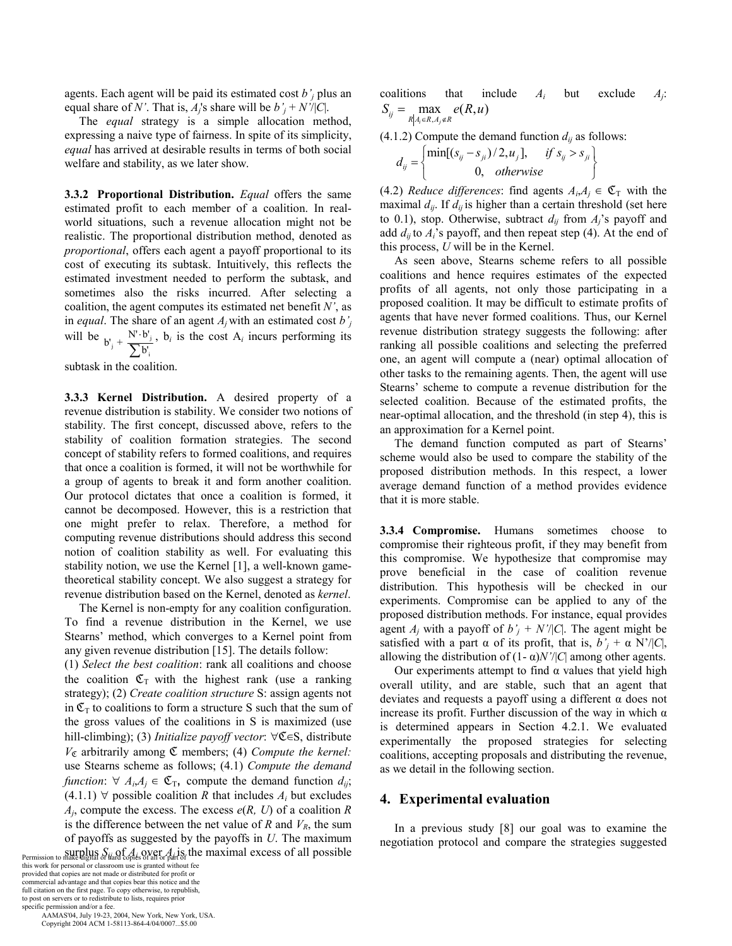agents. Each agent will be paid its estimated cost *b'j* plus an equal share of *N'*. That is,  $A_i$ 's share will be  $b'_i + N' / |C|$ .

The *equal* strategy is a simple allocation method, expressing a naive type of fairness. In spite of its simplicity, *equal* has arrived at desirable results in terms of both social welfare and stability, as we later show.

**3.3.2 Proportional Distribution.** *Equal* offers the same estimated profit to each member of a coalition. In realworld situations, such a revenue allocation might not be realistic. The proportional distribution method, denoted as *proportional*, offers each agent a payoff proportional to its cost of executing its subtask. Intuitively, this reflects the estimated investment needed to perform the subtask, and sometimes also the risks incurred. After selecting a coalition, the agent computes its estimated net benefit *N'*, as in *equal*. The share of an agent *Aj* with an estimated cost *b'j* will be  $b'_j + \frac{N' \cdot b'_j}{\sum b'_i}$  $b'_j + \frac{N' \cdot b'}{\sum b'_j}$ ⋅ ∑ ,  $b_i$  is the cost  $A_i$  incurs performing its

subtask in the coalition.

**3.3.3 Kernel Distribution.** A desired property of a revenue distribution is stability. We consider two notions of stability. The first concept, discussed above, refers to the stability of coalition formation strategies. The second concept of stability refers to formed coalitions, and requires that once a coalition is formed, it will not be worthwhile for a group of agents to break it and form another coalition. Our protocol dictates that once a coalition is formed, it cannot be decomposed. However, this is a restriction that one might prefer to relax. Therefore, a method for computing revenue distributions should address this second notion of coalition stability as well. For evaluating this stability notion, we use the Kernel [1], a well-known gametheoretical stability concept. We also suggest a strategy for revenue distribution based on the Kernel, denoted as *kernel*.

The Kernel is non-empty for any coalition configuration. To find a revenue distribution in the Kernel, we use Stearns' method, which converges to a Kernel point from any given revenue distribution [15]. The details follow:

(1) *Select the best coalition*: rank all coalitions and choose the coalition  $\mathfrak{C}_{\mathsf{T}}$  with the highest rank (use a ranking strategy); (2) *Create coalition structure* S: assign agents not in  $\mathfrak{C}_{\mathcal{T}}$  to coalitions to form a structure S such that the sum of the gross values of the coalitions in S is maximized (use hill-climbing); (3) *Initialize payoff vector*:  $\forall \mathfrak{C} \in S$ , distribute *V*ℭ arbitrarily among ℭ members; (4) *Compute the kernel:*  use Stearns scheme as follows; (4.1) *Compute the demand function*:  $\forall A_i, A_j \in \mathfrak{C}_T$ , compute the demand function  $d_{ij}$ ;  $(4.1.1)$   $\forall$  possible coalition *R* that includes  $A_i$  but excludes  $A_i$ , compute the excess. The excess  $e(R, U)$  of a coalition  $R$ is the difference between the net value of  $R$  and  $V_R$ , the sum of payoffs as suggested by the payoffs in *U*. The maximum Permission to make digital or *Hard* copies of all or part of the maximal excess of all possible

this work for personal or classroom use is granted without fee provided that copies are not made or distributed for profit or commercial advantage and that copies bear this notice and the full citation on the first page. To copy otherwise, to republish, to post on servers or to redistribute to lists, requires prior specific permission and/or a fee.

 AAMAS'04, July 19-23, 2004, New York, New York, USA. Copyright 2004 ACM 1-58113-864-4/04/0007...\$5.00

coalitions that include *Ai* but exclude *Aj*:  $S_{ij} = \max_{R | A_i \in R, A_j \notin R} e(R, u)$ 

 $(4.1.2)$  Compute the demand function  $d_{ij}$  as follows:

$$
d_{ij} = \begin{cases} \min[(s_{ij} - s_{ji})/2, u_j], & \text{if } s_{ij} > s_{ji} \\ 0, & \text{otherwise} \end{cases}
$$

(4.2) *Reduce differences*: find agents  $A_i, A_j \in \mathfrak{C}_T$  with the maximal  $d_{ij}$ . If  $d_{ij}$  is higher than a certain threshold (set here to 0.1), stop. Otherwise, subtract  $d_{ij}$  from  $A_i$ 's payoff and add  $d_{ii}$  to  $A_i$ 's payoff, and then repeat step (4). At the end of this process, *U* will be in the Kernel.

As seen above, Stearns scheme refers to all possible coalitions and hence requires estimates of the expected profits of all agents, not only those participating in a proposed coalition. It may be difficult to estimate profits of agents that have never formed coalitions. Thus, our Kernel revenue distribution strategy suggests the following: after ranking all possible coalitions and selecting the preferred one, an agent will compute a (near) optimal allocation of other tasks to the remaining agents. Then, the agent will use Stearns' scheme to compute a revenue distribution for the selected coalition. Because of the estimated profits, the near-optimal allocation, and the threshold (in step 4), this is an approximation for a Kernel point.

The demand function computed as part of Stearns' scheme would also be used to compare the stability of the proposed distribution methods. In this respect, a lower average demand function of a method provides evidence that it is more stable.

**3.3.4 Compromise.** Humans sometimes choose to compromise their righteous profit, if they may benefit from this compromise. We hypothesize that compromise may prove beneficial in the case of coalition revenue distribution. This hypothesis will be checked in our experiments. Compromise can be applied to any of the proposed distribution methods. For instance, equal provides agent  $A_j$  with a payoff of  $b'_j + N'$ /|*C*|. The agent might be satisfied with a part  $\alpha$  of its profit, that is,  $b'_i + \alpha N'/|C|$ , allowing the distribution of  $(1 - \alpha)N'/|C|$  among other agents.

Our experiments attempt to find  $α$  values that yield high overall utility, and are stable, such that an agent that deviates and requests a payoff using a different  $\alpha$  does not increase its profit. Further discussion of the way in which  $\alpha$ is determined appears in Section 4.2.1. We evaluated experimentally the proposed strategies for selecting coalitions, accepting proposals and distributing the revenue, as we detail in the following section.

#### **4. Experimental evaluation**

In a previous study [8] our goal was to examine the negotiation protocol and compare the strategies suggested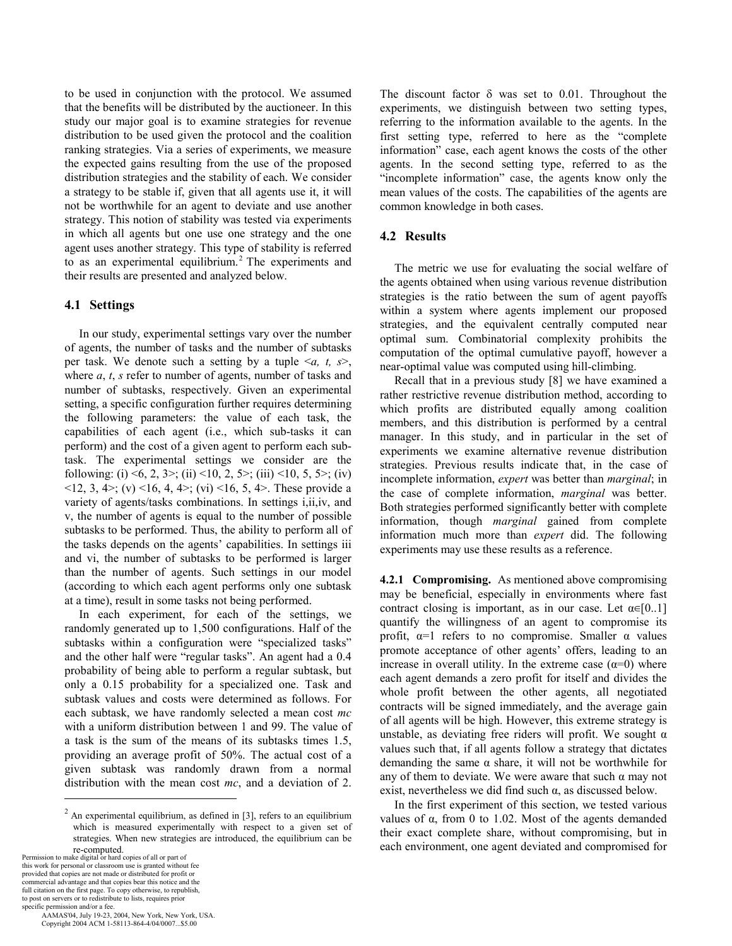to be used in conjunction with the protocol. We assumed that the benefits will be distributed by the auctioneer. In this study our major goal is to examine strategies for revenue distribution to be used given the protocol and the coalition ranking strategies. Via a series of experiments, we measure the expected gains resulting from the use of the proposed distribution strategies and the stability of each. We consider a strategy to be stable if, given that all agents use it, it will not be worthwhile for an agent to deviate and use another strategy. This notion of stability was tested via experiments in which all agents but one use one strategy and the one agent uses another strategy. This type of stability is referred to as an experimental equilibrium.<sup>2</sup> The experiments and their results are presented and analyzed below.

#### **4.1 Settings**

In our study, experimental settings vary over the number of agents, the number of tasks and the number of subtasks per task. We denote such a setting by a tuple <*a, t, s*>, where *a*, *t*, *s* refer to number of agents, number of tasks and number of subtasks, respectively. Given an experimental setting, a specific configuration further requires determining the following parameters: the value of each task, the capabilities of each agent (i.e., which sub-tasks it can perform) and the cost of a given agent to perform each subtask. The experimental settings we consider are the following: (i) <6, 2, 3>; (ii) <10, 2, 5>; (iii) <10, 5, 5>; (iv) <12, 3, 4>; (v) <16, 4, 4>; (vi) <16, 5, 4>. These provide a variety of agents/tasks combinations. In settings i,ii,iv, and v, the number of agents is equal to the number of possible subtasks to be performed. Thus, the ability to perform all of the tasks depends on the agents' capabilities. In settings iii and vi, the number of subtasks to be performed is larger than the number of agents. Such settings in our model (according to which each agent performs only one subtask at a time), result in some tasks not being performed.

In each experiment, for each of the settings, we randomly generated up to 1,500 configurations. Half of the subtasks within a configuration were "specialized tasks" and the other half were "regular tasks". An agent had a 0.4 probability of being able to perform a regular subtask, but only a 0.15 probability for a specialized one. Task and subtask values and costs were determined as follows. For each subtask, we have randomly selected a mean cost *mc* with a uniform distribution between 1 and 99. The value of a task is the sum of the means of its subtasks times 1.5, providing an average profit of 50%. The actual cost of a given subtask was randomly drawn from a normal distribution with the mean cost *mc*, and a deviation of 2.

Permission to make digital or hard copies of all or part of this work for personal or classroom use is granted without fee provided that copies are not made or distributed for profit or commercial advantage and that copies bear this notice and the full citation on the first page. To copy otherwise, to republish, to post on servers or to redistribute to lists, requires prior specific permission and/or a fee.

 $\overline{a}$ 

 AAMAS'04, July 19-23, 2004, New York, New York, USA. Copyright 2004 ACM 1-58113-864-4/04/0007...\$5.00

The discount factor  $\delta$  was set to 0.01. Throughout the experiments, we distinguish between two setting types, referring to the information available to the agents. In the first setting type, referred to here as the "complete information" case, each agent knows the costs of the other agents. In the second setting type, referred to as the "incomplete information" case, the agents know only the mean values of the costs. The capabilities of the agents are common knowledge in both cases.

## **4.2 Results**

The metric we use for evaluating the social welfare of the agents obtained when using various revenue distribution strategies is the ratio between the sum of agent payoffs within a system where agents implement our proposed strategies, and the equivalent centrally computed near optimal sum. Combinatorial complexity prohibits the computation of the optimal cumulative payoff, however a near-optimal value was computed using hill-climbing.

Recall that in a previous study [8] we have examined a rather restrictive revenue distribution method, according to which profits are distributed equally among coalition members, and this distribution is performed by a central manager. In this study, and in particular in the set of experiments we examine alternative revenue distribution strategies. Previous results indicate that, in the case of incomplete information, *expert* was better than *marginal*; in the case of complete information, *marginal* was better. Both strategies performed significantly better with complete information, though *marginal* gained from complete information much more than *expert* did. The following experiments may use these results as a reference.

**4.2.1 Compromising.** As mentioned above compromising may be beneficial, especially in environments where fast contract closing is important, as in our case. Let  $\alpha \in [0,1]$ quantify the willingness of an agent to compromise its profit,  $\alpha=1$  refers to no compromise. Smaller  $\alpha$  values promote acceptance of other agents' offers, leading to an increase in overall utility. In the extreme case  $(\alpha=0)$  where each agent demands a zero profit for itself and divides the whole profit between the other agents, all negotiated contracts will be signed immediately, and the average gain of all agents will be high. However, this extreme strategy is unstable, as deviating free riders will profit. We sought  $\alpha$ values such that, if all agents follow a strategy that dictates demanding the same  $\alpha$  share, it will not be worthwhile for any of them to deviate. We were aware that such  $\alpha$  may not exist, nevertheless we did find such  $\alpha$ , as discussed below.

In the first experiment of this section, we tested various values of α, from 0 to 1.02. Most of the agents demanded their exact complete share, without compromising, but in each environment, one agent deviated and compromised for

 $2$  An experimental equilibrium, as defined in [3], refers to an equilibrium which is measured experimentally with respect to a given set of strategies. When new strategies are introduced, the equilibrium can be re-computed.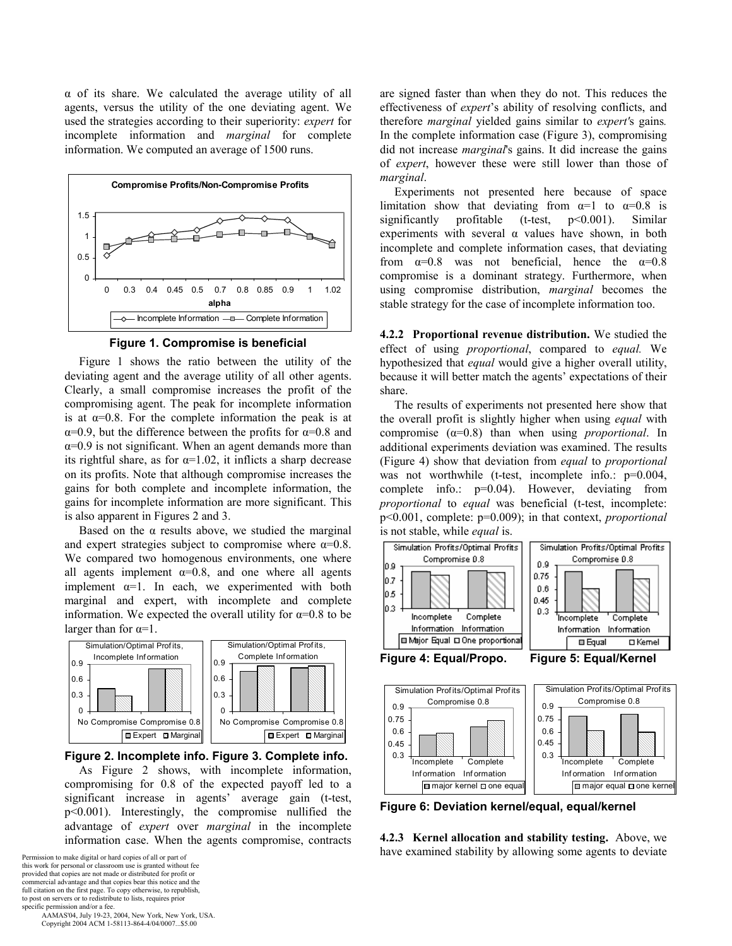α of its share. We calculated the average utility of all agents, versus the utility of the one deviating agent. We used the strategies according to their superiority: *expert* for incomplete information and *marginal* for complete information. We computed an average of 1500 runs.



**Figure 1. Compromise is beneficial**

Figure 1 shows the ratio between the utility of the deviating agent and the average utility of all other agents. Clearly, a small compromise increases the profit of the compromising agent. The peak for incomplete information is at  $\alpha$ =0.8. For the complete information the peak is at  $\alpha$ =0.9, but the difference between the profits for  $\alpha$ =0.8 and  $\alpha$ =0.9 is not significant. When an agent demands more than its rightful share, as for  $\alpha=1.02$ , it inflicts a sharp decrease on its profits. Note that although compromise increases the gains for both complete and incomplete information, the gains for incomplete information are more significant. This is also apparent in Figures 2 and 3.

Based on the  $\alpha$  results above, we studied the marginal and expert strategies subject to compromise where  $\alpha=0.8$ . We compared two homogenous environments, one where all agents implement  $\alpha=0.8$ , and one where all agents implement  $\alpha=1$ . In each, we experimented with both marginal and expert, with incomplete and complete information. We expected the overall utility for  $\alpha=0.8$  to be larger than for  $\alpha=1$ .



#### **Figure 2. Incomplete info. Figure 3. Complete info.**

As Figure 2 shows, with incomplete information, compromising for 0.8 of the expected payoff led to a significant increase in agents' average gain (t-test, p<0.001). Interestingly, the compromise nullified the advantage of *expert* over *marginal* in the incomplete information case. When the agents compromise, contracts

this work for personal or classroom use is granted without fee provided that copies are not made or distributed for profit or commercial advantage and that copies bear this notice and the full citation on the first page. To copy otherwise, to republish, to post on servers or to redistribute to lists, requires prior specific permission and/or a fee.

 AAMAS'04, July 19-23, 2004, New York, New York, USA. Copyright 2004 ACM 1-58113-864-4/04/0007...\$5.00

are signed faster than when they do not. This reduces the effectiveness of *expert*'s ability of resolving conflicts, and therefore *marginal* yielded gains similar to *expert'*s gains*.* In the complete information case (Figure 3), compromising did not increase *marginal*'s gains. It did increase the gains of *expert*, however these were still lower than those of *marginal*.

Experiments not presented here because of space limitation show that deviating from  $\alpha=1$  to  $\alpha=0.8$  is significantly profitable (t-test, p<0.001). Similar experiments with several  $\alpha$  values have shown, in both incomplete and complete information cases, that deviating from  $\alpha=0.8$  was not beneficial, hence the  $\alpha=0.8$ compromise is a dominant strategy. Furthermore, when using compromise distribution, *marginal* becomes the stable strategy for the case of incomplete information too.

**4.2.2 Proportional revenue distribution.** We studied the effect of using *proportional*, compared to *equal.* We hypothesized that *equal* would give a higher overall utility, because it will better match the agents' expectations of their share.

The results of experiments not presented here show that the overall profit is slightly higher when using *equal* with compromise (α=0.8) than when using *proportional*. In additional experiments deviation was examined. The results (Figure 4) show that deviation from *equal* to *proportional* was not worthwhile (t-test, incomplete info.:  $p=0.004$ , complete info.: p=0.04). However, deviating from *proportional* to *equal* was beneficial (t-test, incomplete: p<0.001, complete: p=0.009); in that context, *proportional* is not stable, while *equal* is.





**Figure 6: Deviation kernel/equal, equal/kernel** 

**4.2.3 Kernel allocation and stability testing.** Above, we Permission to make digital or hard copies of all or part of **Examined** stability by allowing some agents to deviate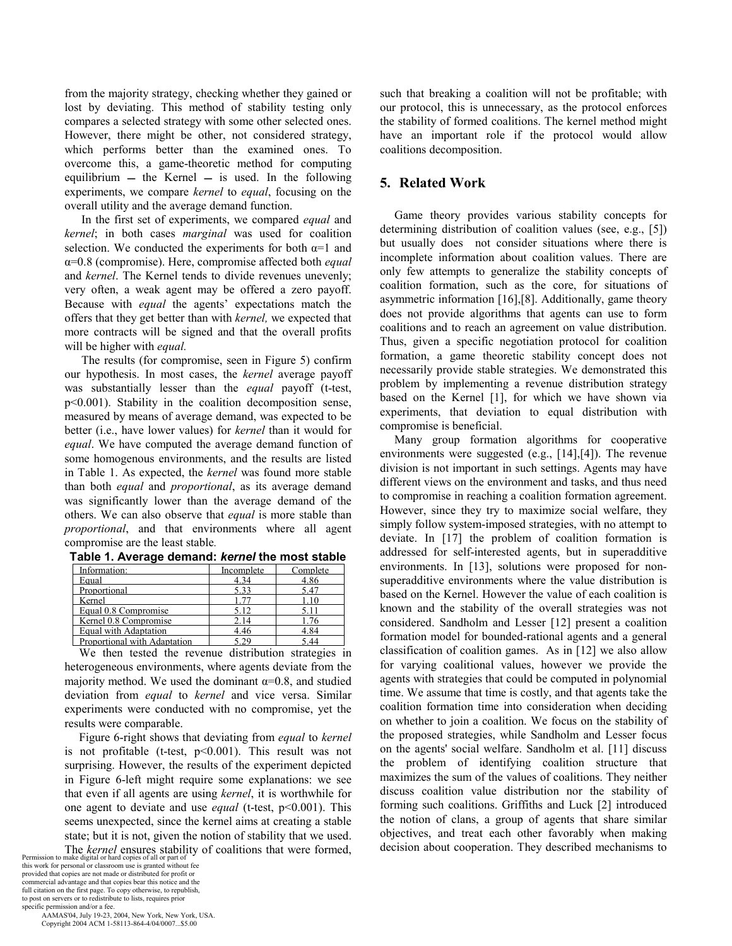from the majority strategy, checking whether they gained or lost by deviating. This method of stability testing only compares a selected strategy with some other selected ones. However, there might be other, not considered strategy, which performs better than the examined ones. To overcome this, a game-theoretic method for computing equilibrium  $-$  the Kernel  $-$  is used. In the following experiments, we compare *kernel* to *equal*, focusing on the overall utility and the average demand function.

In the first set of experiments, we compared *equal* and *kernel*; in both cases *marginal* was used for coalition selection. We conducted the experiments for both  $\alpha=1$  and α=0.8 (compromise). Here, compromise affected both *equal* and *kernel*. The Kernel tends to divide revenues unevenly; very often, a weak agent may be offered a zero payoff. Because with *equal* the agents' expectations match the offers that they get better than with *kernel,* we expected that more contracts will be signed and that the overall profits will be higher with *equal.* 

The results (for compromise, seen in Figure 5) confirm our hypothesis. In most cases, the *kernel* average payoff was substantially lesser than the *equal* payoff (t-test, p<0.001). Stability in the coalition decomposition sense, measured by means of average demand, was expected to be better (i.e., have lower values) for *kernel* than it would for *equal*. We have computed the average demand function of some homogenous environments, and the results are listed in Table 1. As expected, the *kernel* was found more stable than both *equal* and *proportional*, as its average demand was significantly lower than the average demand of the others. We can also observe that *equal* is more stable than *proportional*, and that environments where all agent compromise are the least stable*.* 

| Information:                 | Incomplete | Complete |
|------------------------------|------------|----------|
| Equal                        | 4.34       | 4.86     |
| Proportional                 | 533        | 5 47     |
| Kernel                       |            |          |
| Equal 0.8 Compromise         | 5.12       |          |
| Kernel 0.8 Compromise        | 2.14       |          |
| Equal with Adaptation        | 4.46       | 4.84     |
| Proportional with Adaptation |            | 44       |

**Table 1. Average demand:** *kernel* **the most stable** 

We then tested the revenue distribution strategies in heterogeneous environments, where agents deviate from the majority method. We used the dominant  $\alpha$ =0.8, and studied deviation from *equal* to *kernel* and vice versa. Similar experiments were conducted with no compromise, yet the results were comparable.

Figure 6-right shows that deviating from *equal* to *kernel* is not profitable (t-test, p<0.001). This result was not surprising. However, the results of the experiment depicted in Figure 6-left might require some explanations: we see that even if all agents are using *kernel*, it is worthwhile for one agent to deviate and use *equal* (t-test, p<0.001). This seems unexpected, since the kernel aims at creating a stable state; but it is not, given the notion of stability that we used.

The *kernel* ensures stability of coalitions that were formed,<br>Permission to make digital or hard copies of all or part of<br>this work for personal or classroom use is granted without free<br>provided that copies are not made o commercial advantage and that copies bear this notice and the full citation on the first page. To copy otherwise, to republish, to post on servers or to redistribute to lists, requires prior specific permission and/or a fee.

 AAMAS'04, July 19-23, 2004, New York, New York, USA. Copyright 2004 ACM 1-58113-864-4/04/0007...\$5.00

such that breaking a coalition will not be profitable; with our protocol, this is unnecessary, as the protocol enforces the stability of formed coalitions. The kernel method might have an important role if the protocol would allow coalitions decomposition.

# **5. Related Work**

Game theory provides various stability concepts for determining distribution of coalition values (see, e.g., [5]) but usually does not consider situations where there is incomplete information about coalition values. There are only few attempts to generalize the stability concepts of coalition formation, such as the core, for situations of asymmetric information [16], [8]. Additionally, game theory does not provide algorithms that agents can use to form coalitions and to reach an agreement on value distribution. Thus, given a specific negotiation protocol for coalition formation, a game theoretic stability concept does not necessarily provide stable strategies. We demonstrated this problem by implementing a revenue distribution strategy based on the Kernel [1], for which we have shown via experiments, that deviation to equal distribution with compromise is beneficial.

Many group formation algorithms for cooperative environments were suggested  $(e.g., [14],[4])$ . The revenue division is not important in such settings. Agents may have different views on the environment and tasks, and thus need to compromise in reaching a coalition formation agreement. However, since they try to maximize social welfare, they simply follow system-imposed strategies, with no attempt to deviate. In [17] the problem of coalition formation is addressed for self-interested agents, but in superadditive environments. In [13], solutions were proposed for nonsuperadditive environments where the value distribution is based on the Kernel. However the value of each coalition is known and the stability of the overall strategies was not considered. Sandholm and Lesser [12] present a coalition formation model for bounded-rational agents and a general classification of coalition games. As in [12] we also allow for varying coalitional values, however we provide the agents with strategies that could be computed in polynomial time. We assume that time is costly, and that agents take the coalition formation time into consideration when deciding on whether to join a coalition. We focus on the stability of the proposed strategies, while Sandholm and Lesser focus on the agents' social welfare. Sandholm et al. [11] discuss the problem of identifying coalition structure that maximizes the sum of the values of coalitions. They neither discuss coalition value distribution nor the stability of forming such coalitions. Griffiths and Luck [2] introduced the notion of clans, a group of agents that share similar objectives, and treat each other favorably when making decision about cooperation. They described mechanisms to